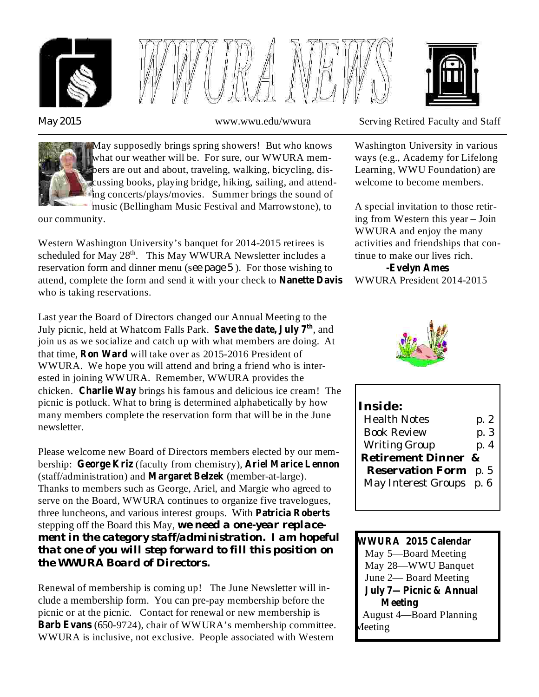



*May 2015*



May supposedly brings spring showers! But who knows what our weather will be. For sure, our WWURA members are out and about, traveling, walking, bicycling, discussing books, playing bridge, hiking, sailing, and attending concerts/plays/movies. Summer brings the sound of music (Bellingham Music Festival and Marrowstone), to

our community.

reservation form and dinner menu (see page 5). For those wishing to Western Washington University's banquet for 2014-2015 retirees is scheduled for May  $28<sup>th</sup>$ . This May WWURA Newsletter includes a attend, complete the form and send it with your check to **Nanette Davis** who is taking reservations.

Last year the Board of Directors changed our Annual Meeting to the **July** picnic, held at Whatcom Falls Park. Save the date, July 7<sup>th</sup>, and join us as we socialize and catch up with what members are doing. At that time, **Ron Ward** will take over as 2015-2016 President of WWURA. We hope you will attend and bring a friend who is interested in joining WWURA. Remember, WWURA provides the chicken. Charlie Way brings his famous and delicious ice cream! The picnic is potluck. What to bring is determined alphabetically by how many members complete the reservation form that will be in the June newsletter.

Please welcome new Board of Directors members elected by our membership: George Kriz (faculty from chemistry), Ariel Marice Lennon (staff/administration) and Margaret Belzek (member-at-large). Thanks to members such as George, Ariel, and Margie who agreed to serve on the Board, WWURA continues to organize five travelogues, three luncheons, and various interest groups. With **Patricia Roberts** stepping off the Board this May, *we need a one-year replacement in the category staff/administration. I am hopeful that one of you will step forward to fill this position on the WWURA Board of Directors.*

Renewal of membership is coming up! The June Newsletter will include a membership form. You can pre-pay membership before the picnic or at the picnic. Contact for renewal or new membership is (650-9724), chair of WWURA's membership committee. **Barb Evans** WWURA is inclusive, not exclusive. People associated with Western



www.wwu.edu/wwura Serving Retired Faculty and Staff

Washington University in various ways (e.g., Academy for Lifelong Learning, WWU Foundation) are welcome to become members.

A special invitation to those retiring from Western this year – Join WWURA and enjoy the many activities and friendships that continue to make our lives rich.

WWURA President 2014-2015 **-Evelyn Ames**



| Inside:                  |      |
|--------------------------|------|
| Health Notes             | p. 2 |
| <b>Book Review</b>       | p. 3 |
| <b>Writing Group</b>     | p. 4 |
| Retirement Dinner &      |      |
| <b>Reservation Form</b>  | p. 5 |
| May Interest Groups p. 6 |      |
|                          |      |

May 5—Board Meeting May 28—WWU Banquet June 2— Board Meeting August 4—Board Planning Meeting **WWURA 2015 Calendar July 7—Picnic & Annual Meeting**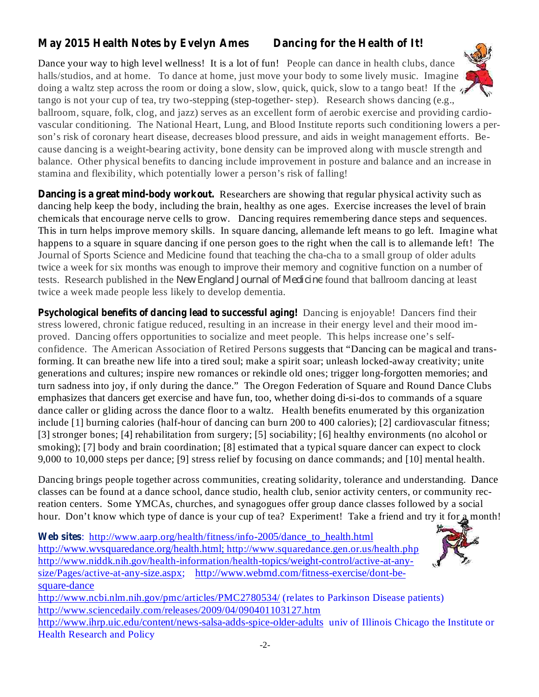# **May 2015 Health Notes by Evelyn Ames Dancing for the Health of It!**

Dance your way to high level wellness! It is a lot of fun! People can dance in health clubs, dance halls/studios, and at home. To dance at home, just move your body to some lively music. Imagine doing a waltz step across the room or doing a slow, slow, quick, quick, slow to a tango beat! If the tango is not your cup of tea, try two-stepping (step-together- step). Research shows dancing (e.g.,

ballroom, square, folk, clog, and jazz) serves as an excellent form of aerobic exercise and providing cardiovascular conditioning. The National Heart, Lung, and Blood Institute reports such conditioning lowers a person's risk of coronary heart disease, decreases blood pressure, and aids in weight management efforts. Because dancing is a weight-bearing activity, bone density can be improved along with muscle strength and balance. Other physical benefits to dancing include improvement in posture and balance and an increase in stamina and flexibility, which potentially lower a person's risk of falling!

**Dancing is a great mind-body workout.** Researchers are showing that regular physical activity such as dancing help keep the body, including the brain, healthy as one ages. Exercise increases the level of brain chemicals that encourage nerve cells to grow. Dancing requires remembering dance steps and sequences. This in turn helps improve memory skills. In square dancing, allemande left means to go left. Imagine what happens to a square in square dancing if one person goes to the right when the call is to allemande left! The Journal of Sports Science and Medicine found that teaching the cha-cha to a small group of older adults twice a week for six months was enough to improve their memory and cognitive function on a number of tests. Research published in the *New England Journal of Medicine* found that ballroom dancing at least twice a week made people less likely to develop dementia.

**Psychological benefits of dancing lead to successful aging!** Dancing is enjoyable! Dancers find their stress lowered, chronic fatigue reduced, resulting in an increase in their energy level and their mood improved. Dancing offers opportunities to socialize and meet people. This helps increase one's selfconfidence. The American Association of Retired Persons suggests that "Dancing can be magical and transforming. It can breathe new life into a tired soul; make a spirit soar; unleash locked-away creativity; unite generations and cultures; inspire new romances or rekindle old ones; trigger long-forgotten memories; and turn sadness into joy, if only during the dance." The Oregon Federation of Square and Round Dance Clubs emphasizes that dancers get exercise and have fun, too, whether doing di-si-dos to commands of a square dance caller or gliding across the dance floor to a waltz. Health benefits enumerated by this organization include [1] burning calories (half-hour of dancing can burn 200 to 400 calories); [2] cardiovascular fitness; [3] stronger bones; [4] rehabilitation from surgery; [5] sociability; [6] healthy environments (no alcohol or smoking); [7] body and brain coordination; [8] estimated that a typical square dancer can expect to clock 9,000 to 10,000 steps per dance; [9] stress relief by focusing on dance commands; and [10] mental health.

Dancing brings people together across communities, creating solidarity, tolerance and understanding. Dance classes can be found at a dance school, dance studio, health club, senior activity centers, or community recreation centers. Some YMCAs, churches, and synagogues offer group dance classes followed by a social hour. Don't know which type of dance is your cup of tea? Experiment! Take a friend and try it for a month!

**Web sites** : http://www.aarp.org/health/fitness/info-2005/dance\_to\_health.html http://www.wvsquaredance.org/health.html; http://www.squaredance.gen.or.us/health.php http://www.niddk.nih.gov/health-information/health-topics/weight-control/active-at-anysize/Pages/active-at-any-size.aspx; http://www.webmd.com/fitness-exercise/dont-besquare-dance

http://www.ncbi.nlm.nih.gov/pmc/articles/PMC2780534/ (relates to Parkinson Disease patients) http://www.sciencedaily.com/releases/2009/04/090401103127.htm

http://www.ihrp.uic.edu/content/news-salsa-adds-spice-older-adults univ of Illinois Chicago the Institute or Health Research and Policy

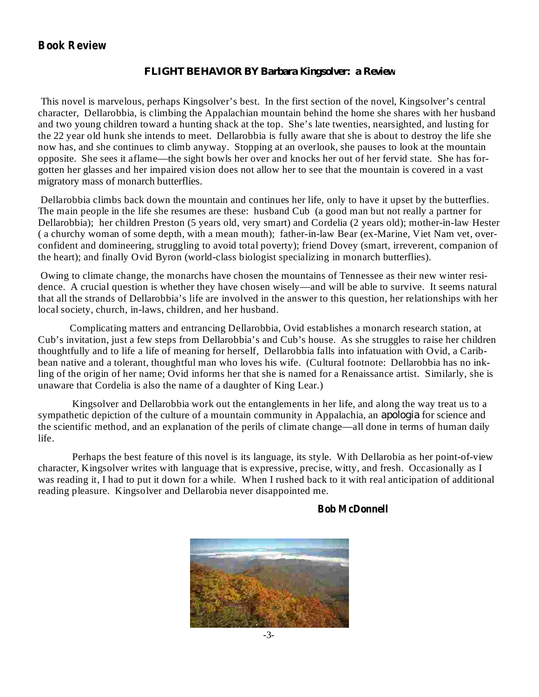### **Book Review**

#### *FLIGHT BEHAVIOR BY Barbara Kingsolver: a Review*

This novel is marvelous, perhaps Kingsolver's best. In the first section of the novel, Kingsolver's central character, Dellarobbia, is climbing the Appalachian mountain behind the home she shares with her husband and two young children toward a hunting shack at the top. She's late twenties, nearsighted, and lusting for the 22 year old hunk she intends to meet. Dellarobbia is fully aware that she is about to destroy the life she now has, and she continues to climb anyway. Stopping at an overlook, she pauses to look at the mountain opposite. She sees it aflame—the sight bowls her over and knocks her out of her fervid state. She has forgotten her glasses and her impaired vision does not allow her to see that the mountain is covered in a vast migratory mass of monarch butterflies.

Dellarobbia climbs back down the mountain and continues her life, only to have it upset by the butterflies. The main people in the life she resumes are these: husband Cub (a good man but not really a partner for Dellarobbia); her children Preston (5 years old, very smart) and Cordelia (2 years old); mother-in-law Hester ( a churchy woman of some depth, with a mean mouth); father-in-law Bear (ex-Marine, Viet Nam vet, overconfident and domineering, struggling to avoid total poverty); friend Dovey (smart, irreverent, companion of the heart); and finally Ovid Byron (world-class biologist specializing in monarch butterflies).

Owing to climate change, the monarchs have chosen the mountains of Tennessee as their new winter residence. A crucial question is whether they have chosen wisely—and will be able to survive. It seems natural that all the strands of Dellarobbia's life are involved in the answer to this question, her relationships with her local society, church, in-laws, children, and her husband.

Complicating matters and entrancing Dellarobbia, Ovid establishes a monarch research station, at Cub's invitation, just a few steps from Dellarobbia's and Cub's house. As she struggles to raise her children thoughtfully and to life a life of meaning for herself, Dellarobbia falls into infatuation with Ovid, a Caribbean native and a tolerant, thoughtful man who loves his wife. (Cultural footnote: Dellarobbia has no inkling of the origin of her name; Ovid informs her that she is named for a Renaissance artist. Similarly, she is unaware that Cordelia is also the name of a daughter of King Lear.)

Kingsolver and Dellarobbia work out the entanglements in her life, and along the way treat us to a sympathetic depiction of the culture of a mountain community in Appalachia, an *apologia* for science and the scientific method, and an explanation of the perils of climate change—all done in terms of human daily life.

Perhaps the best feature of this novel is its language, its style. With Dellarobia as her point-of-view character, Kingsolver writes with language that is expressive, precise, witty, and fresh. Occasionally as I was reading it, I had to put it down for a while. When I rushed back to it with real anticipation of additional reading pleasure. Kingsolver and Dellarobia never disappointed me.

#### **Bob McDonnell**

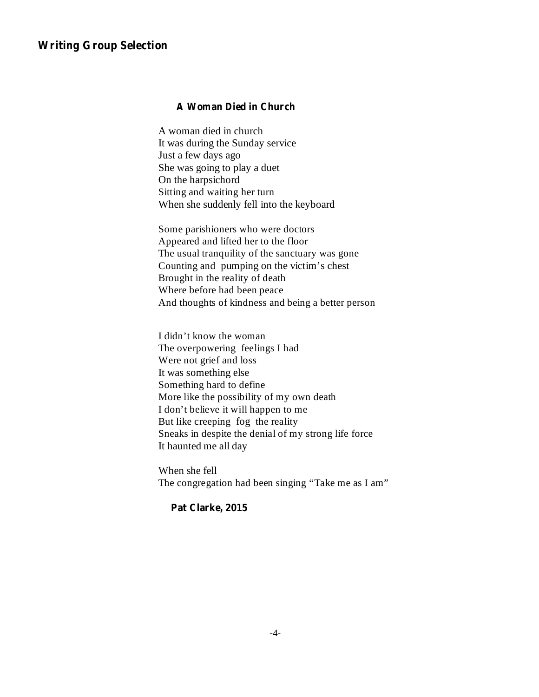#### **Writing Group Selection**

#### **A Woman Died in Church**

A woman died in church It was during the Sunday service Just a few days ago She was going to play a duet On the harpsichord Sitting and waiting her turn When she suddenly fell into the keyboard

Some parishioners who were doctors Appeared and lifted her to the floor The usual tranquility of the sanctuary was gone Counting and pumping on the victim's chest Brought in the reality of death Where before had been peace And thoughts of kindness and being a better person

I didn't know the woman The overpowering feelings I had Were not grief and loss It was something else Something hard to define More like the possibility of my own death I don't believe it will happen to me But like creeping fog the reality Sneaks in despite the denial of my strong life force It haunted me all day

When she fell The congregation had been singing "Take me as I am"

**Pat Clarke, 2015**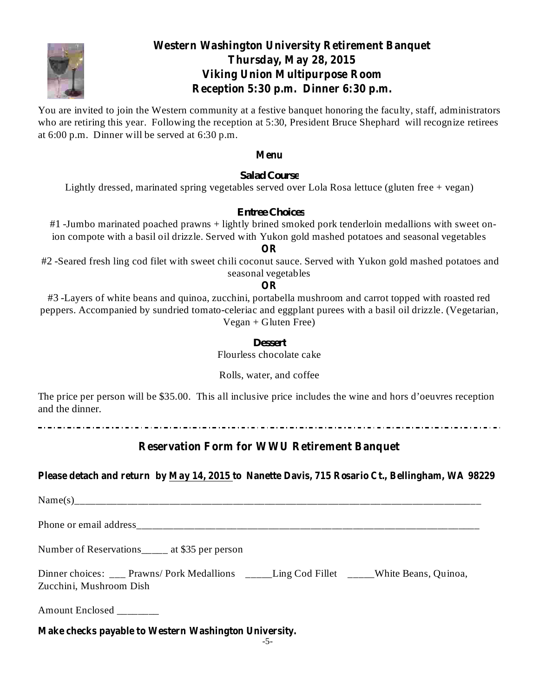

## **Western Washington University Retirement Banquet Thursday, May 28, 2015 Viking Union Multipurpose Room Reception 5:30 p.m. Dinner 6:30 p.m.**

You are invited to join the Western community at a festive banquet honoring the faculty, staff, administrators who are retiring this year. Following the reception at 5:30, President Bruce Shephard will recognize retirees at 6:00 p.m. Dinner will be served at 6:30 p.m.

#### **Menu**

*Salad Course*

Lightly dressed, marinated spring vegetables served over Lola Rosa lettuce (gluten free + vegan)

#### *Entree Choices*

#1 -Jumbo marinated poached prawns + lightly brined smoked pork tenderloin medallions with sweet onion compote with a basil oil drizzle. Served with Yukon gold mashed potatoes and seasonal vegetables

**OR**

#2 -Seared fresh ling cod filet with sweet chili coconut sauce. Served with Yukon gold mashed potatoes and seasonal vegetables

#### **OR**

#3 -Layers of white beans and quinoa, zucchini, portabella mushroom and carrot topped with roasted red peppers. Accompanied by sundried tomato-celeriac and eggplant purees with a basil oil drizzle. (Vegetarian,  $Vegan + Gluten Free)$ 

#### *Dessert*

Flourless chocolate cake

Rolls, water, and coffee

The price per person will be \$35.00. This all inclusive price includes the wine and hors d'oeuvres reception and the dinner.

### **Reservation Form for WWU Retirement Banquet**

### **Please detach and return by May 14, 2015 to Nanette Davis, 715 Rosario Ct., Bellingham, WA 98229**

 $Name(s)$ 

Phone or email address

Number of Reservations\_\_\_\_\_ at \$35 per person

Dinner choices: \_\_\_ Prawns/ Pork Medallions \_\_\_\_\_Ling Cod Fillet \_\_\_\_\_White Beans, Quinoa, Zucchini, Mushroom Dish

Amount Enclosed \_\_\_\_\_\_\_\_

**Make checks payable to Western Washington University.**